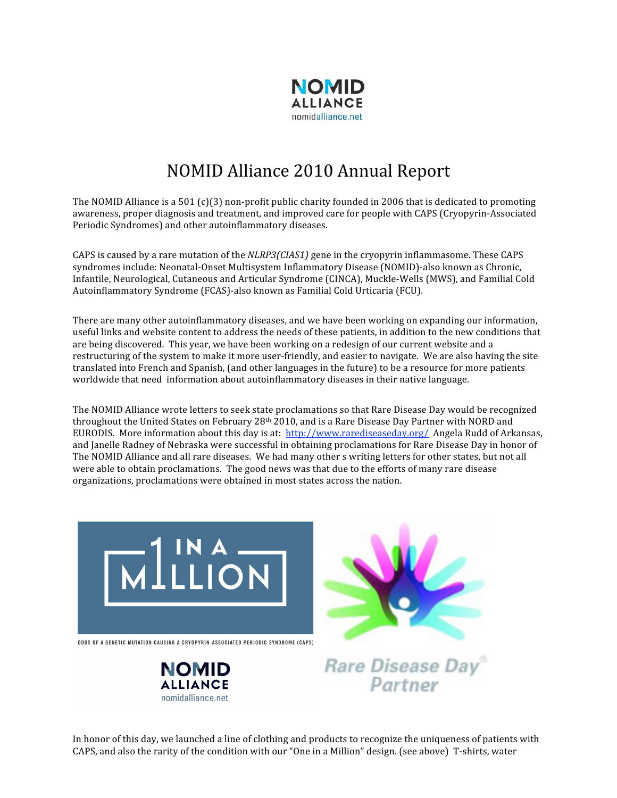

## NOMID Alliance 2010 Annual Report

The NOMID Alliance is a 501 (c)(3) non-profit public charity founded in 2006 that is dedicated to promoting awareness, proper diagnosis and treatment, and improved care for people with CAPS (Cryopyrin‐Associated Periodic Syndromes) and other autoinflammatory diseases.

CAPS is caused by a rare mutation of the *NLRP3(CIAS1)* gene in the cryopyrin inflammasome. These CAPS syndromes include: Neonatal‐Onset Multisystem Inflammatory Disease (NOMID)‐also known as Chronic, Infantile, Neurological, Cutaneous and Articular Syndrome (CINCA), Muckle‐Wells (MWS), and Familial Cold Autoinflammatory Syndrome (FCAS)‐also known as Familial Cold Urticaria (FCU).

There are many other autoinflammatory diseases, and we have been working on expanding our information, useful links and website content to address the needs of these patients, in addition to the new conditions that are being discovered. This year, we have been working on a redesign of our current website and a restructuring of the system to make it more user‐friendly, and easier to navigate. We are also having the site translated into French and Spanish, (and other languages in the future) to be a resource for more patients worldwide that need information about autoinflammatory diseases in their native language.

The NOMID Alliance wrote letters to seek state proclamations so that Rare Disease Day would be recognized throughout the United States on February 28<sup>th</sup> 2010, and is a Rare Disease Day Partner with NORD and EURODIS. More information about this day is at: http://www.rarediseaseday.org/ Angela Rudd of Arkansas, and Janelle Radney of Nebraska were successful in obtaining proclamations for Rare Disease Day in honor of The NOMID Alliance and all rare diseases. We had many other s writing letters for other states, but not all were able to obtain proclamations. The good news was that due to the efforts of many rare disease organizations, proclamations were obtained in most states across the nation.

In honor of this day, we launched a line of clothing and products to recognize the uniqueness of patients with CAPS, and also the rarity of the condition with our "One in a Million" design. (see above) T‐shirts, water



ODDS OF A GENETIC MUTATION CAUSING A CRYOPYRIN-ASSOCIATED PERIODIC SYNDROME (CAPS)





Rare Disease Day

Partner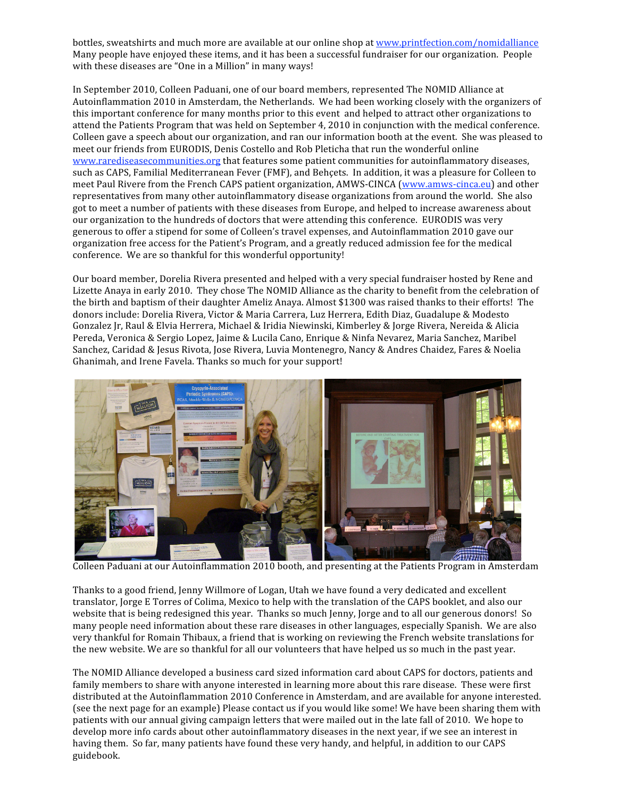bottles, sweatshirts and much more are available at our online shop at www.printfection.com/nomidalliance Many people have enjoyed these items, and it has been a successful fundraiser for our organization. People with these diseases are "One in a Million" in many ways!

In September 2010, Colleen Paduani, one of our board members, represented The NOMID Alliance at Autoinflammation 2010 in Amsterdam, the Netherlands. We had been working closely with the organizers of this important conference for many months prior to this event and helped to attract other organizations to attend the Patients Program that was held on September 4, 2010 in conjunction with the medical conference. Colleen gave a speech about our organization, and ran our information booth at the event. She was pleased to meet our friends from EURODIS, Denis Costello and Rob Pleticha that run the wonderful online www.rarediseasecommunities.org that features some patient communities for autoinflammatory diseases, such as CAPS, Familial Mediterranean Fever (FMF), and Behçets. In addition, it was a pleasure for Colleen to meet Paul Rivere from the French CAPS patient organization, AMWS-CINCA (www.amws-cinca.eu) and other representatives from many other autoinflammatory disease organizations from around the world. She also got to meet a number of patients with these diseases from Europe, and helped to increase awareness about our organization to the hundreds of doctors that were attending this conference. EURODIS was very generous to offer a stipend for some of Colleen's travel expenses, and Autoinflammation 2010 gave our organization free access for the Patient's Program, and a greatly reduced admission fee for the medical conference. We are so thankful for this wonderful opportunity!

Our board member, Dorelia Rivera presented and helped with a very special fundraiser hosted by Rene and Lizette Anaya in early 2010. They chose The NOMID Alliance as the charity to benefit from the celebration of the birth and baptism of their daughter Ameliz Anaya. Almost \$1300 was raised thanks to their efforts! The donors include: Dorelia Rivera, Victor & Maria Carrera, Luz Herrera, Edith Diaz, Guadalupe & Modesto Gonzalez Jr, Raul & Elvia Herrera, Michael & Iridia Niewinski, Kimberley & Jorge Rivera, Nereida & Alicia Pereda, Veronica & Sergio Lopez, Jaime & Lucila Cano, Enrique & Ninfa Nevarez, Maria Sanchez, Maribel Sanchez, Caridad & Jesus Rivota, Jose Rivera, Luvia Montenegro, Nancy & Andres Chaidez, Fares & Noelia Ghanimah, and Irene Favela. Thanks so much for your support!



Colleen Paduani at our Autoinflammation 2010 booth, and presenting at the Patients Program in Amsterdam

Thanks to a good friend, Jenny Willmore of Logan, Utah we have found a very dedicated and excellent translator, Jorge E Torres of Colima, Mexico to help with the translation of the CAPS booklet, and also our website that is being redesigned this year. Thanks so much Jenny, Jorge and to all our generous donors! So many people need information about these rare diseases in other languages, especially Spanish. We are also very thankful for Romain Thibaux, a friend that is working on reviewing the French website translations for the new website. We are so thankful for all our volunteers that have helped us so much in the past year.

The NOMID Alliance developed a business card sized information card about CAPS for doctors, patients and family members to share with anyone interested in learning more about this rare disease. These were first distributed at the Autoinflammation 2010 Conference in Amsterdam, and are available for anyone interested. (see the next page for an example) Please contact us if you would like some! We have been sharing them with patients with our annual giving campaign letters that were mailed out in the late fall of 2010. We hope to develop more info cards about other autoinflammatory diseases in the next year, if we see an interest in having them. So far, many patients have found these very handy, and helpful, in addition to our CAPS guidebook.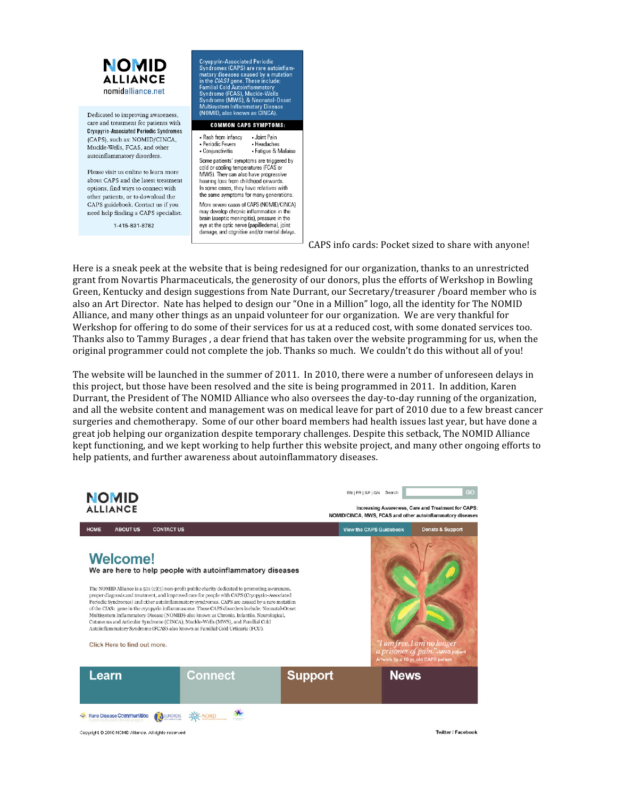

CAPS info cards: Pocket sized to share with anyone!

Here is a sneak peek at the website that is being redesigned for our organization, thanks to an unrestricted grant from Novartis Pharmaceuticals, the generosity of our donors, plus the efforts of Werkshop in Bowling Green, Kentucky and design suggestions from Nate Durrant, our Secretary/treasurer /board member who is also an Art Director. Nate has helped to design our "One in a Million" logo, all the identity for The NOMID Alliance, and many other things as an unpaid volunteer for our organization. We are very thankful for Werkshop for offering to do some of their services for us at a reduced cost, with some donated services too. Thanks also to Tammy Burages , a dear friend that has taken over the website programming for us, when the original programmer could not complete the job. Thanks so much. We couldn't do this without all of you!

The website will be launched in the summer of 2011. In 2010, there were a number of unforeseen delays in this project, but those have been resolved and the site is being programmed in 2011. In addition, Karen Durrant, the President of The NOMID Alliance who also oversees the day-to-day running of the organization, and all the website content and management was on medical leave for part of 2010 due to a few breast cancer surgeries and chemotherapy. Some of our other board members had health issues last year, but have done a great job helping our organization despite temporary challenges. Despite this setback, The NOMID Alliance kept functioning, and we kept working to help further this website project, and many other ongoing efforts to help patients, and further awareness about autoinflammatory diseases.



Copyright @ 2010 NOMID Alliance. All rights reserved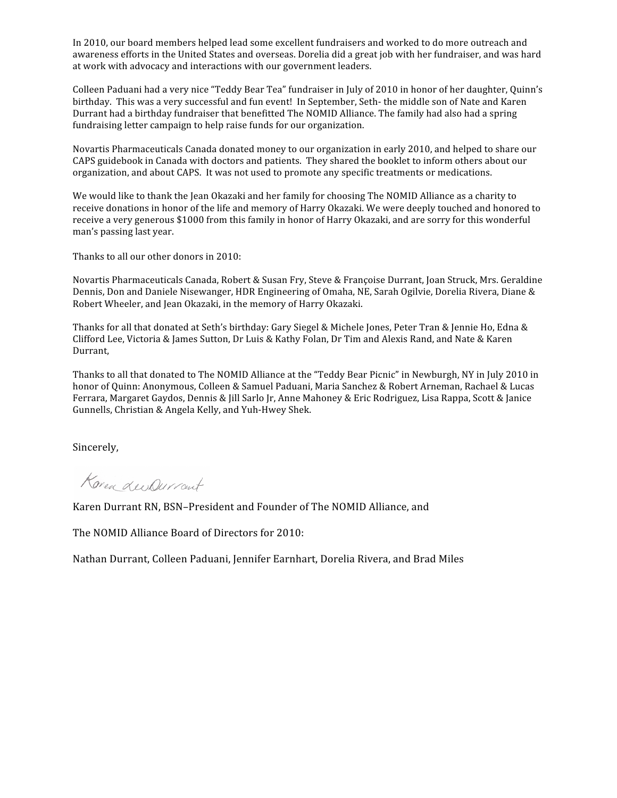In 2010, our board members helped lead some excellent fundraisers and worked to do more outreach and awareness efforts in the United States and overseas. Dorelia did a great job with her fundraiser, and was hard at work with advocacy and interactions with our government leaders.

Colleen Paduani had a very nice "Teddy Bear Tea" fundraiser in July of 2010 in honor of her daughter, Quinn's birthday. This was a very successful and fun event! In September, Seth‐ the middle son of Nate and Karen Durrant had a birthday fundraiser that benefitted The NOMID Alliance. The family had also had a spring fundraising letter campaign to help raise funds for our organization.

Novartis Pharmaceuticals Canada donated money to our organization in early 2010, and helped to share our CAPS guidebook in Canada with doctors and patients. They shared the booklet to inform others about our organization, and about CAPS. It was not used to promote any specific treatments or medications.

We would like to thank the Jean Okazaki and her family for choosing The NOMID Alliance as a charity to receive donations in honor of the life and memory of Harry Okazaki. We were deeply touched and honored to receive a very generous \$1000 from this family in honor of Harry Okazaki, and are sorry for this wonderful man's passing last year.

Thanks to all our other donors in 2010:

Novartis Pharmaceuticals Canada, Robert & Susan Fry, Steve & Françoise Durrant, Joan Struck, Mrs. Geraldine Dennis, Don and Daniele Nisewanger, HDR Engineering of Omaha, NE, Sarah Ogilvie, Dorelia Rivera, Diane & Robert Wheeler, and Jean Okazaki, in the memory of Harry Okazaki.

Thanks for all that donated at Seth's birthday: Gary Siegel & Michele Jones, Peter Tran & Jennie Ho, Edna & Clifford Lee, Victoria & James Sutton, Dr Luis & Kathy Folan, Dr Tim and Alexis Rand, and Nate & Karen Durrant,

Thanks to all that donated to The NOMID Alliance at the "Teddy Bear Picnic" in Newburgh, NY in July 2010 in honor of Quinn: Anonymous, Colleen & Samuel Paduani, Maria Sanchez & Robert Arneman, Rachael & Lucas Ferrara, Margaret Gaydos, Dennis & Jill Sarlo Jr, Anne Mahoney & Eric Rodriguez, Lisa Rappa, Scott & Janice Gunnells, Christian & Angela Kelly, and Yuh‐Hwey Shek.

Sincerely,

Korea Lee Queront

Karen Durrant RN, BSN–President and Founder of The NOMID Alliance, and

The NOMID Alliance Board of Directors for 2010:

Nathan Durrant, Colleen Paduani, Jennifer Earnhart, Dorelia Rivera, and Brad Miles